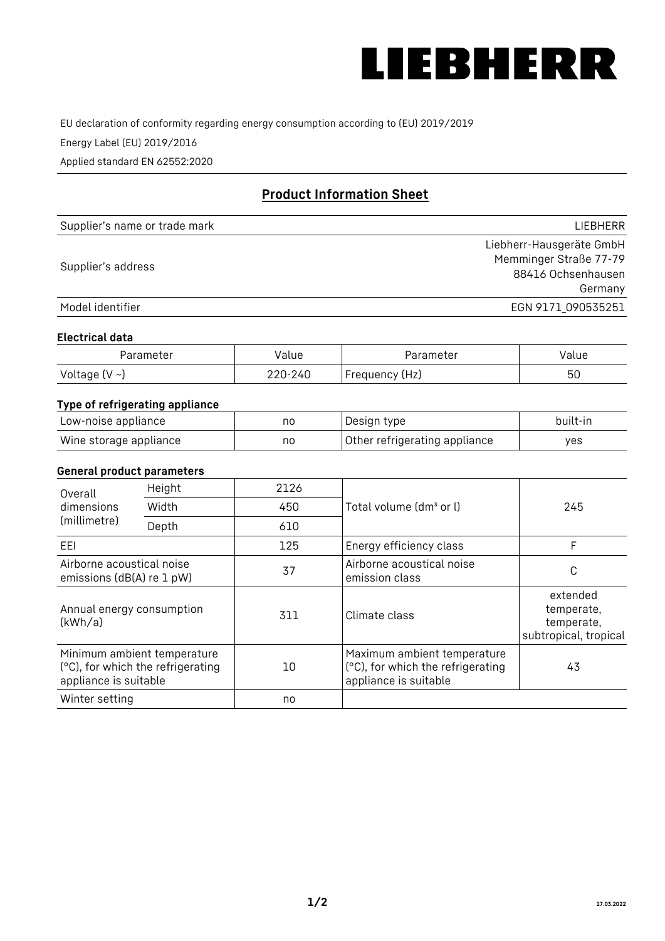

EU declaration of conformity regarding energy consumption according to (EU) 2019/2019

Energy Label (EU) 2019/2016

Applied standard EN 62552:2020

# **Product Information Sheet**

| Supplier's name or trade mark | <b>LIFBHFRR</b>          |
|-------------------------------|--------------------------|
|                               | Liebherr-Hausgeräte GmbH |
| Supplier's address            | Memminger Straße 77-79   |
|                               | 88416 Ochsenhausen       |
|                               | Germany                  |
| Model identifier              | EGN 9171 090535251       |

#### **Electrical data**

| Parameter           | Value   | Parameter      | Value |
|---------------------|---------|----------------|-------|
| Voltage (V $\sim$ ) | 220-240 | Frequency (Hz) | 50    |

## **Type of refrigerating appliance**

| Low-noise appliance    | no | Design type                   | built-in |
|------------------------|----|-------------------------------|----------|
| Wine storage appliance | no | Other refrigerating appliance | ves      |

#### **General product parameters**

| Overall<br>dimensions<br>(millimetre)                  | Height                                                           | 2126 |                                                                                           | 245                                                           |
|--------------------------------------------------------|------------------------------------------------------------------|------|-------------------------------------------------------------------------------------------|---------------------------------------------------------------|
|                                                        | Width                                                            | 450  | Total volume (dm <sup>3</sup> or l)                                                       |                                                               |
|                                                        | Depth                                                            | 610  |                                                                                           |                                                               |
| EEL                                                    |                                                                  | 125  | Energy efficiency class                                                                   | F                                                             |
| Airborne acoustical noise<br>emissions (dB(A) re 1 pW) |                                                                  | 37   | Airborne acoustical noise<br>emission class                                               | С                                                             |
| Annual energy consumption<br>(kWh/a)                   |                                                                  | 311  | Climate class                                                                             | extended<br>temperate,<br>temperate,<br>subtropical, tropical |
| appliance is suitable                                  | Minimum ambient temperature<br>(°C), for which the refrigerating | 10   | Maximum ambient temperature<br>(°C), for which the refrigerating<br>appliance is suitable | 43                                                            |
| Winter setting                                         |                                                                  | no   |                                                                                           |                                                               |